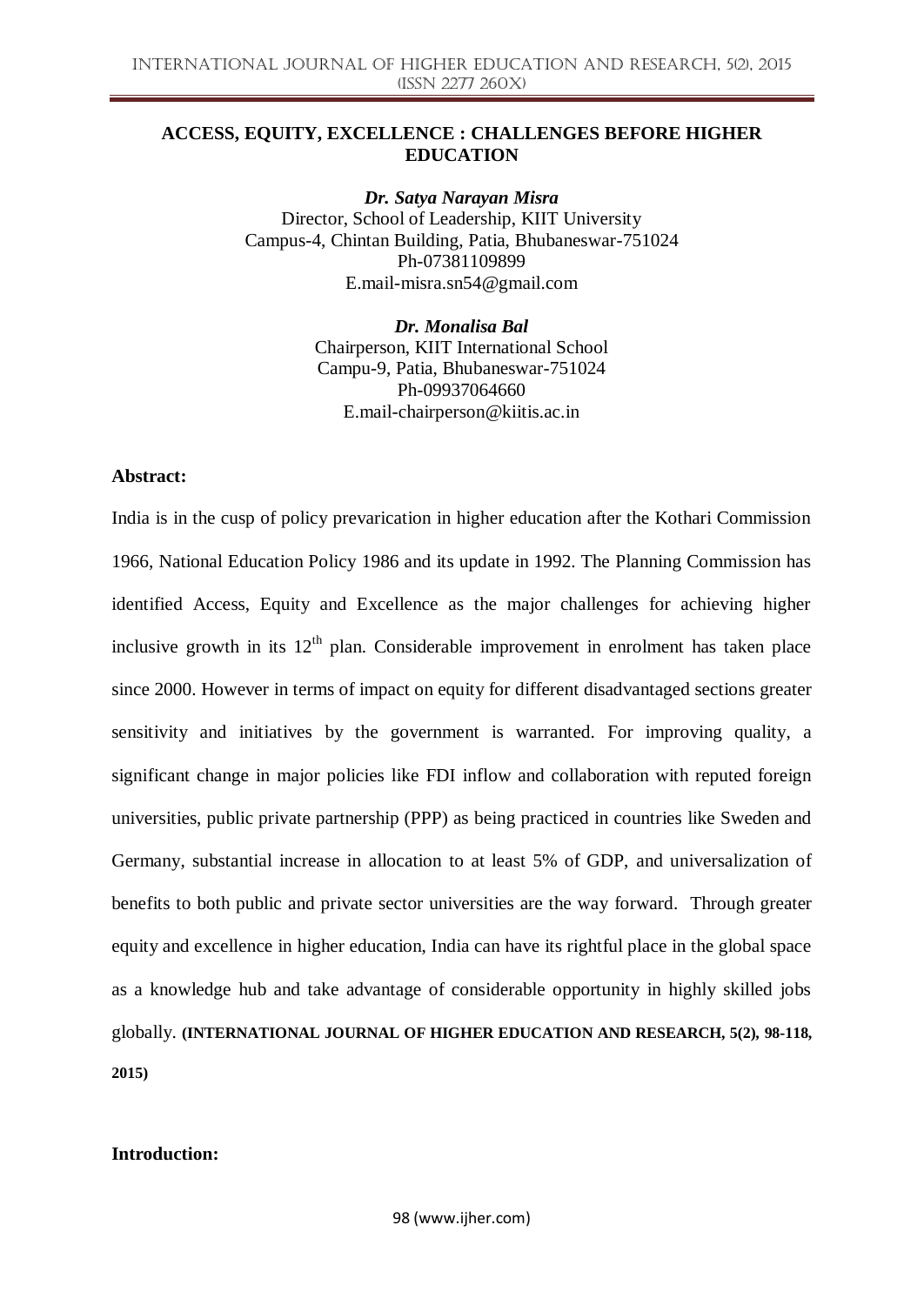## **ACCESS, EQUITY, EXCELLENCE : CHALLENGES BEFORE HIGHER EDUCATION**

*Dr. Satya Narayan Misra* Director, School of Leadership, KIIT University Campus-4, Chintan Building, Patia, Bhubaneswar-751024 Ph-07381109899 E.mail-misra.sn54@gmail.com

> *Dr. Monalisa Bal* Chairperson, KIIT International School Campu-9, Patia, Bhubaneswar-751024 Ph-09937064660 E.mail-chairperson@kiitis.ac.in

#### **Abstract:**

India is in the cusp of policy prevarication in higher education after the Kothari Commission 1966, National Education Policy 1986 and its update in 1992. The Planning Commission has identified Access, Equity and Excellence as the major challenges for achieving higher inclusive growth in its  $12<sup>th</sup>$  plan. Considerable improvement in enrolment has taken place since 2000. However in terms of impact on equity for different disadvantaged sections greater sensitivity and initiatives by the government is warranted. For improving quality, a significant change in major policies like FDI inflow and collaboration with reputed foreign universities, public private partnership (PPP) as being practiced in countries like Sweden and Germany, substantial increase in allocation to at least 5% of GDP, and universalization of benefits to both public and private sector universities are the way forward. Through greater equity and excellence in higher education, India can have its rightful place in the global space as a knowledge hub and take advantage of considerable opportunity in highly skilled jobs globally. **(INTERNATIONAL JOURNAL OF HIGHER EDUCATION AND RESEARCH, 5(2), 98-118, 2015)**

#### **Introduction:**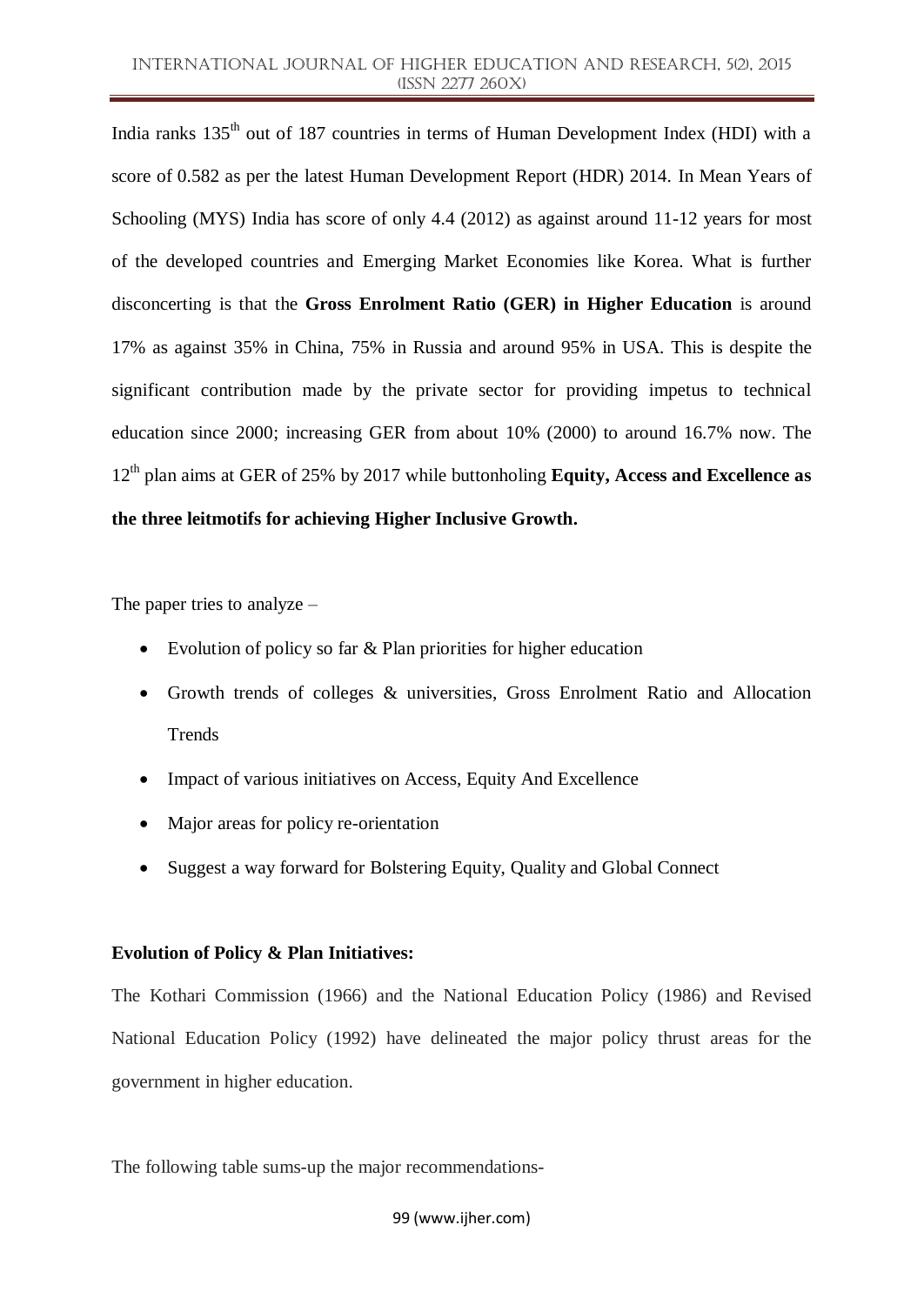India ranks 135<sup>th</sup> out of 187 countries in terms of Human Development Index (HDI) with a score of 0.582 as per the latest Human Development Report (HDR) 2014. In Mean Years of Schooling (MYS) India has score of only 4.4 (2012) as against around 11-12 years for most of the developed countries and Emerging Market Economies like Korea. What is further disconcerting is that the **Gross Enrolment Ratio (GER) in Higher Education** is around 17% as against 35% in China, 75% in Russia and around 95% in USA. This is despite the significant contribution made by the private sector for providing impetus to technical education since 2000; increasing GER from about 10% (2000) to around 16.7% now. The 12th plan aims at GER of 25% by 2017 while buttonholing **Equity, Access and Excellence as the three leitmotifs for achieving Higher Inclusive Growth.**

The paper tries to analyze –

- Evolution of policy so far & Plan priorities for higher education
- Growth trends of colleges & universities, Gross Enrolment Ratio and Allocation Trends
- Impact of various initiatives on Access, Equity And Excellence
- Major areas for policy re-orientation
- Suggest a way forward for Bolstering Equity, Quality and Global Connect

#### **Evolution of Policy & Plan Initiatives:**

The Kothari Commission (1966) and the National Education Policy (1986) and Revised National Education Policy (1992) have delineated the major policy thrust areas for the government in higher education.

The following table sums-up the major recommendations-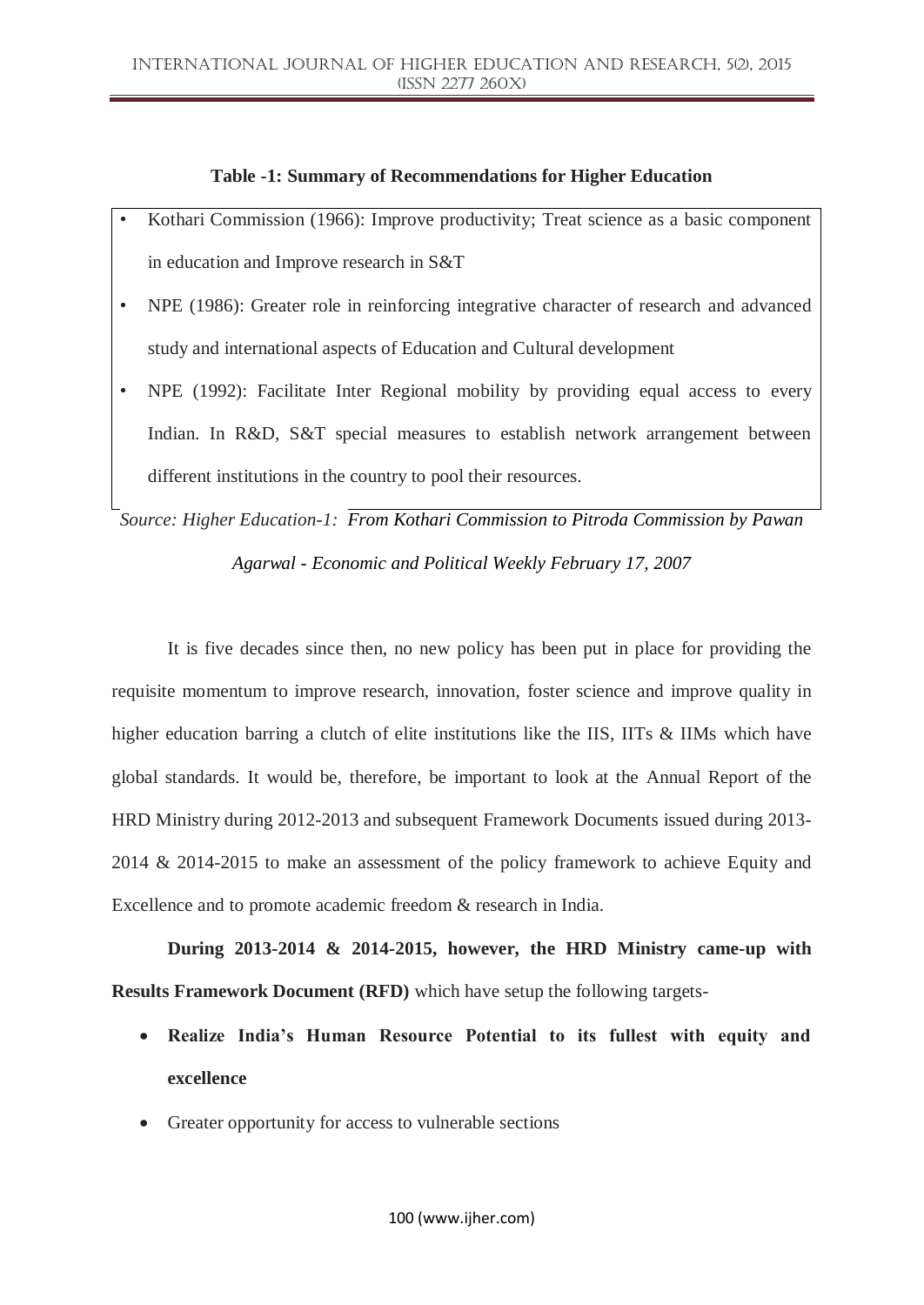### **Table -1: Summary of Recommendations for Higher Education**

- Kothari Commission (1966): Improve productivity; Treat science as a basic component in education and Improve research in S&T
- NPE (1986): Greater role in reinforcing integrative character of research and advanced study and international aspects of Education and Cultural development
- NPE (1992): Facilitate Inter Regional mobility by providing equal access to every Indian. In R&D, S&T special measures to establish network arrangement between different institutions in the country to pool their resources.

*Source: Higher Education-1: From Kothari Commission to Pitroda Commission by Pawan Agarwal - Economic and Political Weekly February 17, 2007*

It is five decades since then, no new policy has been put in place for providing the requisite momentum to improve research, innovation, foster science and improve quality in higher education barring a clutch of elite institutions like the IIS, IITs & IIMs which have global standards. It would be, therefore, be important to look at the Annual Report of the HRD Ministry during 2012-2013 and subsequent Framework Documents issued during 2013- 2014 & 2014-2015 to make an assessment of the policy framework to achieve Equity and Excellence and to promote academic freedom & research in India.

**During 2013-2014 & 2014-2015, however, the HRD Ministry came-up with Results Framework Document (RFD)** which have setup the following targets-

- **Realize India's Human Resource Potential to its fullest with equity and excellence**
- Greater opportunity for access to vulnerable sections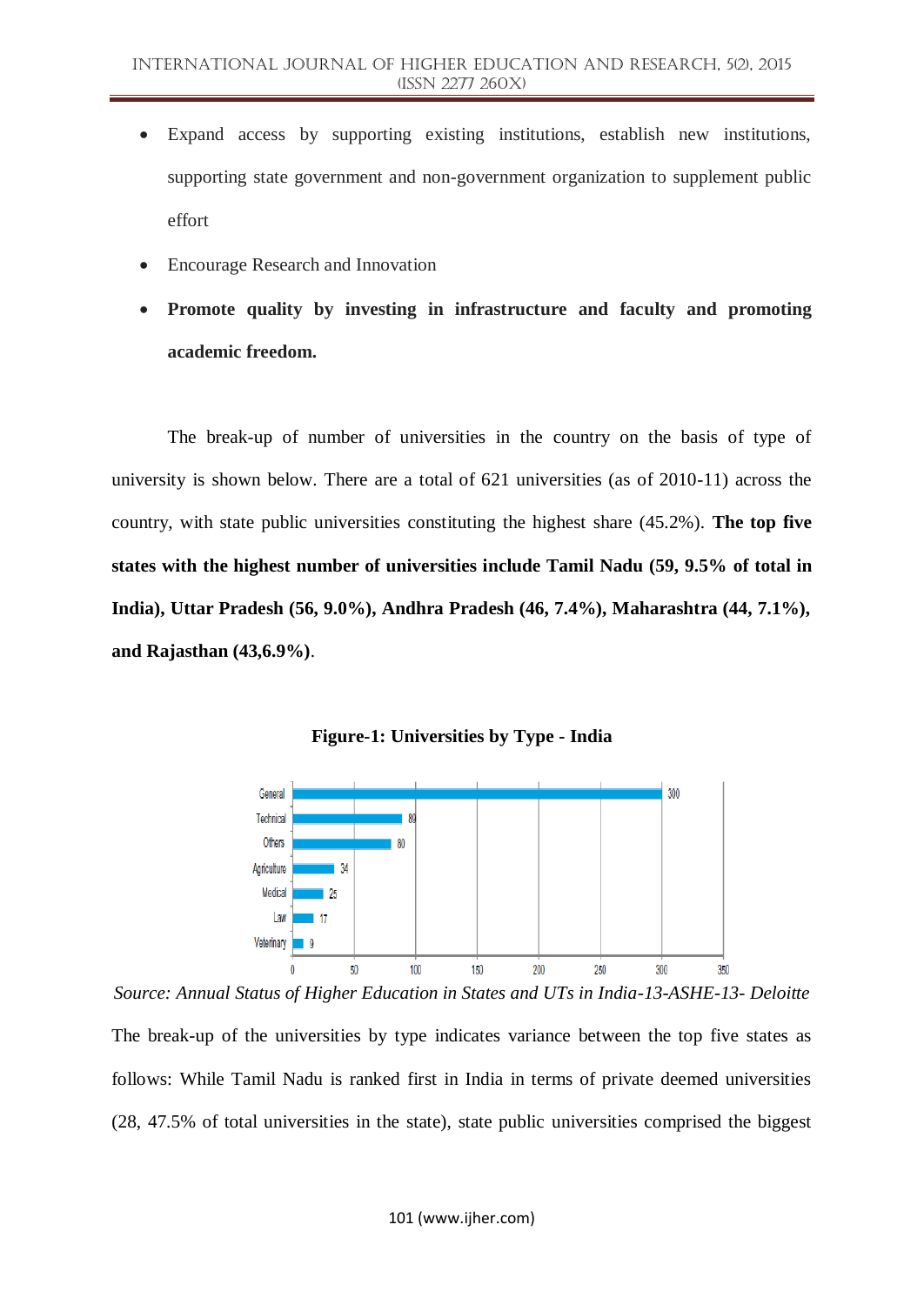- Expand access by supporting existing institutions, establish new institutions, supporting state government and non-government organization to supplement public effort
- Encourage Research and Innovation
- **Promote quality by investing in infrastructure and faculty and promoting academic freedom.**

The break-up of number of universities in the country on the basis of type of university is shown below. There are a total of 621 universities (as of 2010-11) across the country, with state public universities constituting the highest share (45.2%). **The top five states with the highest number of universities include Tamil Nadu (59, 9.5% of total in India), Uttar Pradesh (56, 9.0%), Andhra Pradesh (46, 7.4%), Maharashtra (44, 7.1%), and Rajasthan (43,6.9%)**.



**Figure-1: Universities by Type - India**

*Source: Annual Status of Higher Education in States and UTs in India-13-ASHE-13- Deloitte* The break-up of the universities by type indicates variance between the top five states as follows: While Tamil Nadu is ranked first in India in terms of private deemed universities (28, 47.5% of total universities in the state), state public universities comprised the biggest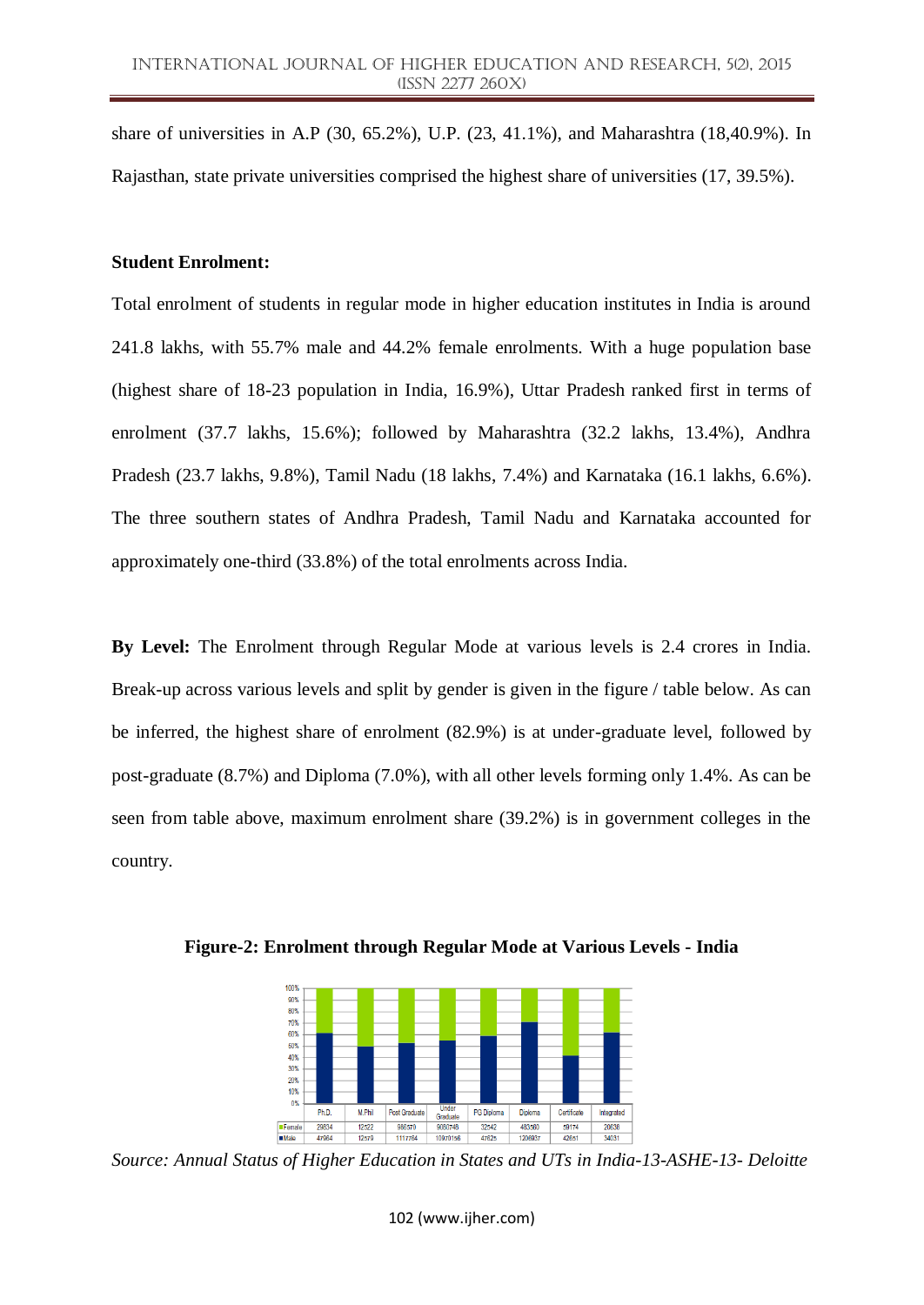share of universities in A.P (30, 65.2%), U.P. (23, 41.1%), and Maharashtra (18,40.9%). In Rajasthan, state private universities comprised the highest share of universities (17, 39.5%).

#### **Student Enrolment:**

Total enrolment of students in regular mode in higher education institutes in India is around 241.8 lakhs, with 55.7% male and 44.2% female enrolments. With a huge population base (highest share of 18-23 population in India, 16.9%), Uttar Pradesh ranked first in terms of enrolment (37.7 lakhs, 15.6%); followed by Maharashtra (32.2 lakhs, 13.4%), Andhra Pradesh (23.7 lakhs, 9.8%), Tamil Nadu (18 lakhs, 7.4%) and Karnataka (16.1 lakhs, 6.6%). The three southern states of Andhra Pradesh, Tamil Nadu and Karnataka accounted for approximately one-third (33.8%) of the total enrolments across India.

**By Level:** The Enrolment through Regular Mode at various levels is 2.4 crores in India. Break-up across various levels and split by gender is given in the figure / table below. As can be inferred, the highest share of enrolment (82.9%) is at under-graduate level, followed by post-graduate (8.7%) and Diploma (7.0%), with all other levels forming only 1.4%. As can be seen from table above, maximum enrolment share (39.2%) is in government colleges in the country.



**Figure-2: Enrolment through Regular Mode at Various Levels - India**

*Source: Annual Status of Higher Education in States and UTs in India-13-ASHE-13- Deloitte*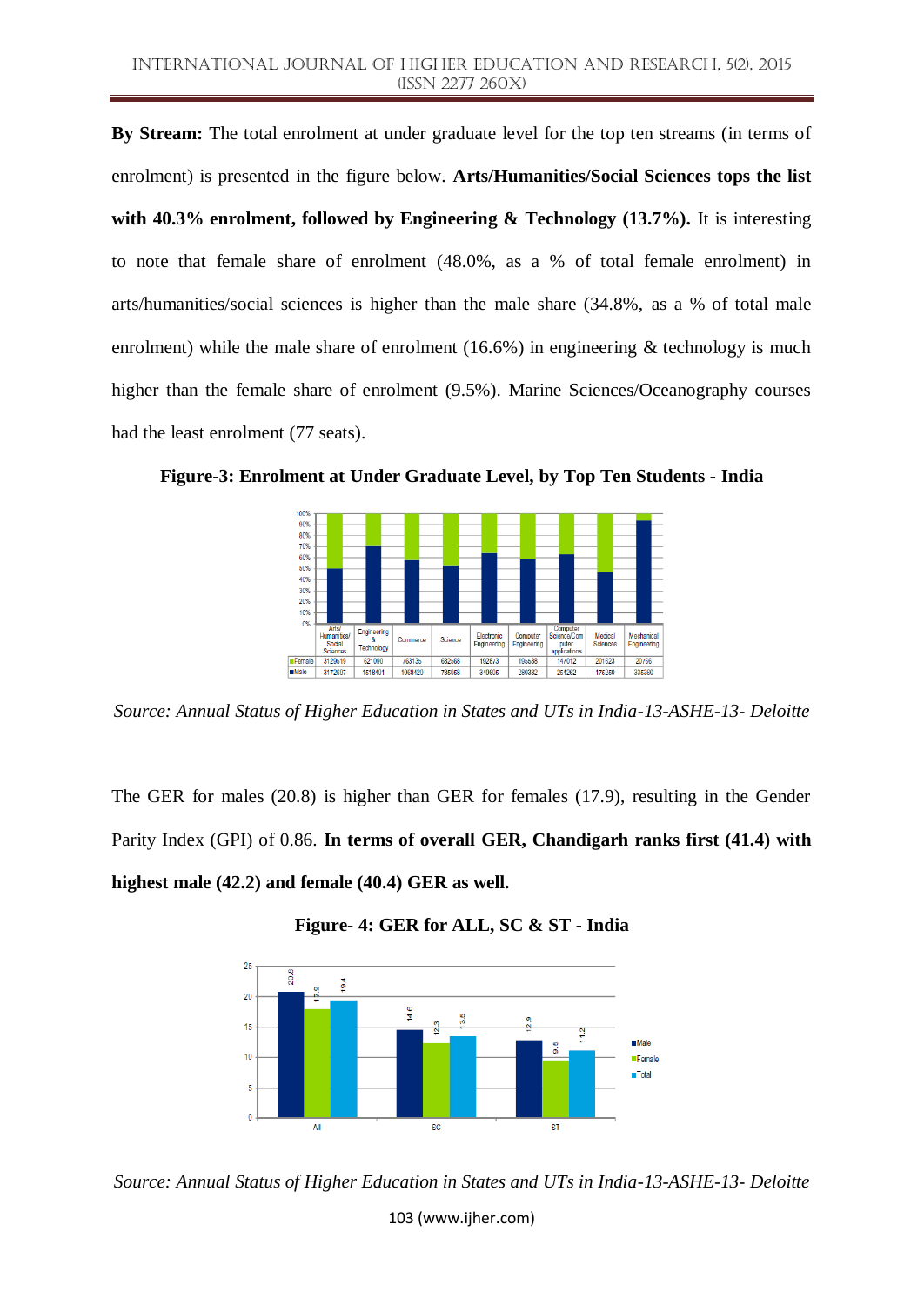**By Stream:** The total enrolment at under graduate level for the top ten streams (in terms of enrolment) is presented in the figure below. **Arts/Humanities/Social Sciences tops the list with 40.3% enrolment, followed by Engineering & Technology (13.7%).** It is interesting to note that female share of enrolment (48.0%, as a % of total female enrolment) in arts/humanities/social sciences is higher than the male share (34.8%, as a % of total male enrolment) while the male share of enrolment  $(16.6%)$  in engineering & technology is much higher than the female share of enrolment (9.5%). Marine Sciences/Oceanography courses had the least enrolment (77 seats).



**Figure-3: Enrolment at Under Graduate Level, by Top Ten Students - India**

*Source: Annual Status of Higher Education in States and UTs in India-13-ASHE-13- Deloitte*

The GER for males (20.8) is higher than GER for females (17.9), resulting in the Gender Parity Index (GPI) of 0.86. **In terms of overall GER, Chandigarh ranks first (41.4) with highest male (42.2) and female (40.4) GER as well.**





*Source: Annual Status of Higher Education in States and UTs in India-13-ASHE-13- Deloitte*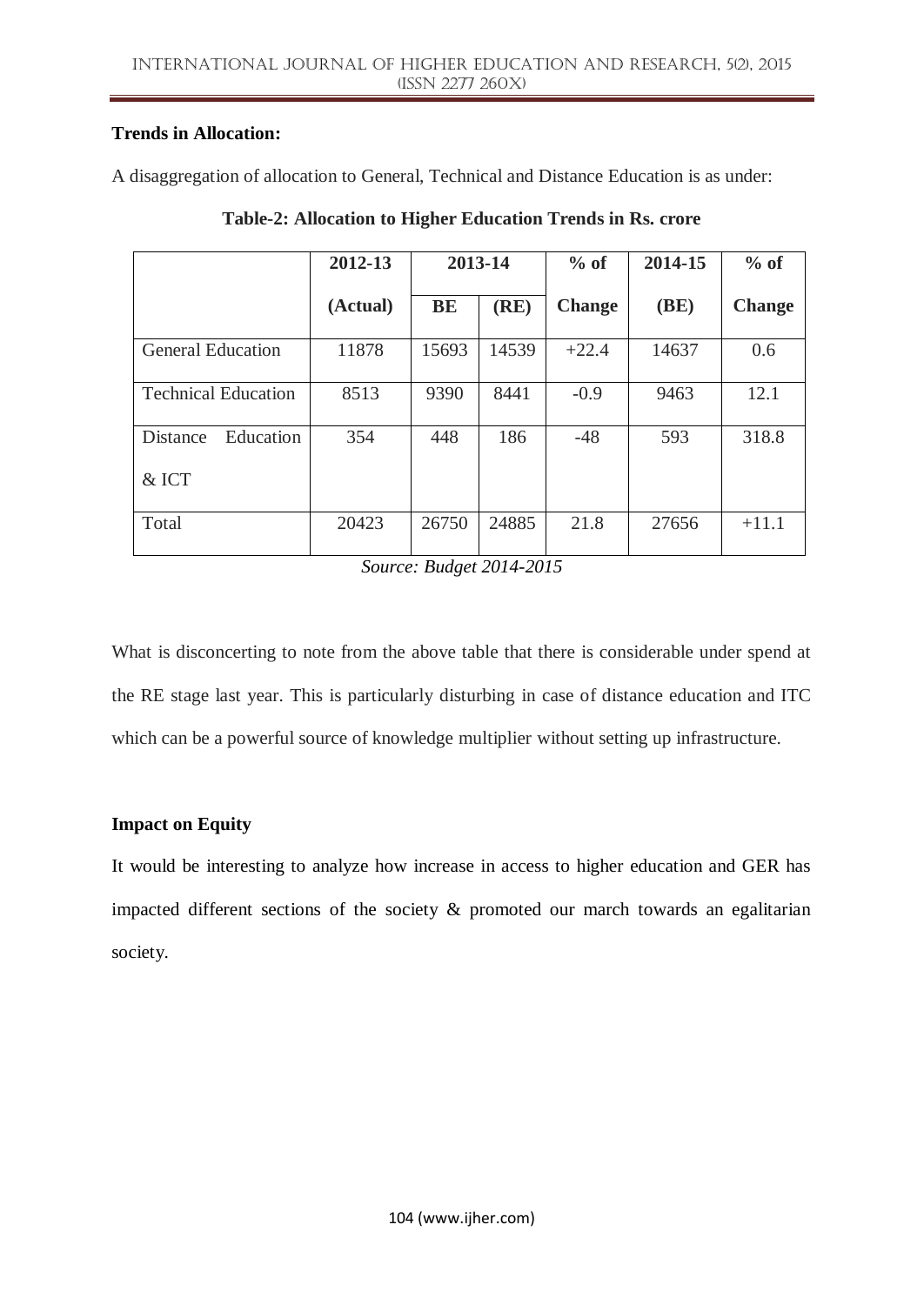## **Trends in Allocation:**

A disaggregation of allocation to General, Technical and Distance Education is as under:

|                            | 2012-13  | 2013-14   |       | $%$ of        | 2014-15 | $%$ of        |
|----------------------------|----------|-----------|-------|---------------|---------|---------------|
|                            | (Actual) | <b>BE</b> | (RE)  | <b>Change</b> | (BE)    | <b>Change</b> |
| <b>General Education</b>   | 11878    | 15693     | 14539 | $+22.4$       | 14637   | 0.6           |
| <b>Technical Education</b> | 8513     | 9390      | 8441  | $-0.9$        | 9463    | 12.1          |
| Education<br>Distance      | 354      | 448       | 186   | $-48$         | 593     | 318.8         |
| & ICT                      |          |           |       |               |         |               |
| Total                      | 20423    | 26750     | 24885 | 21.8          | 27656   | $+11.1$       |

**Table-2: Allocation to Higher Education Trends in Rs. crore**

*Source: Budget 2014-2015*

What is disconcerting to note from the above table that there is considerable under spend at the RE stage last year. This is particularly disturbing in case of distance education and ITC which can be a powerful source of knowledge multiplier without setting up infrastructure.

# **Impact on Equity**

It would be interesting to analyze how increase in access to higher education and GER has impacted different sections of the society  $\&$  promoted our march towards an egalitarian society.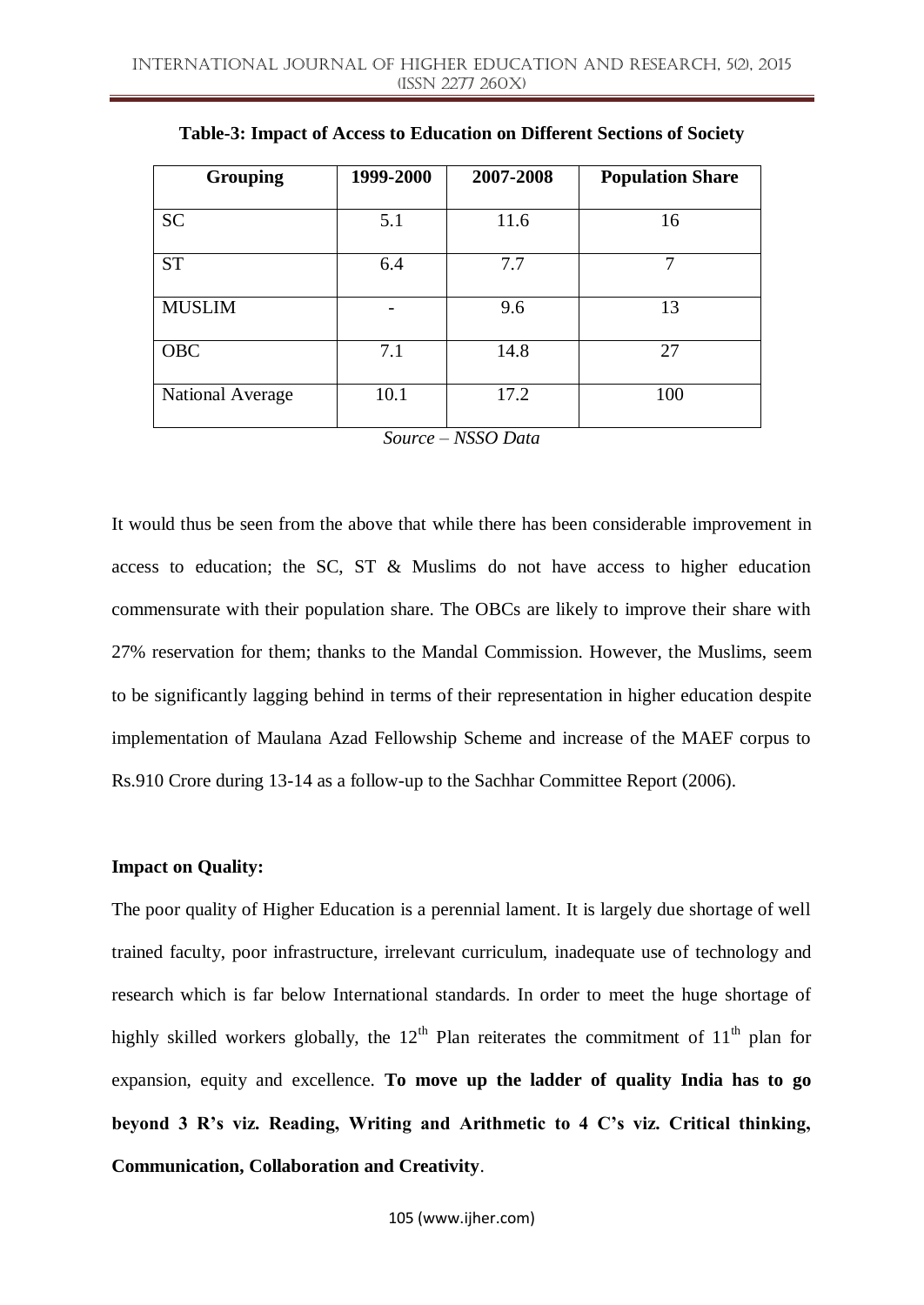| <b>Grouping</b>  | 1999-2000 | 2007-2008 | <b>Population Share</b> |
|------------------|-----------|-----------|-------------------------|
| <b>SC</b>        | 5.1       | 11.6      | 16                      |
| <b>ST</b>        | 6.4       | 7.7       | 7                       |
| <b>MUSLIM</b>    |           | 9.6       | 13                      |
| <b>OBC</b>       | 7.1       | 14.8      | 27                      |
| National Average | 10.1      | 17.2      | 100                     |

**Table-3: Impact of Access to Education on Different Sections of Society**

*Source – NSSO Data*

It would thus be seen from the above that while there has been considerable improvement in access to education; the SC, ST & Muslims do not have access to higher education commensurate with their population share. The OBCs are likely to improve their share with 27% reservation for them; thanks to the Mandal Commission. However, the Muslims, seem to be significantly lagging behind in terms of their representation in higher education despite implementation of Maulana Azad Fellowship Scheme and increase of the MAEF corpus to Rs.910 Crore during 13-14 as a follow-up to the Sachhar Committee Report (2006).

#### **Impact on Quality:**

The poor quality of Higher Education is a perennial lament. It is largely due shortage of well trained faculty, poor infrastructure, irrelevant curriculum, inadequate use of technology and research which is far below International standards. In order to meet the huge shortage of highly skilled workers globally, the  $12<sup>th</sup>$  Plan reiterates the commitment of  $11<sup>th</sup>$  plan for expansion, equity and excellence. **To move up the ladder of quality India has to go beyond 3 R's viz. Reading, Writing and Arithmetic to 4 C's viz. Critical thinking, Communication, Collaboration and Creativity**.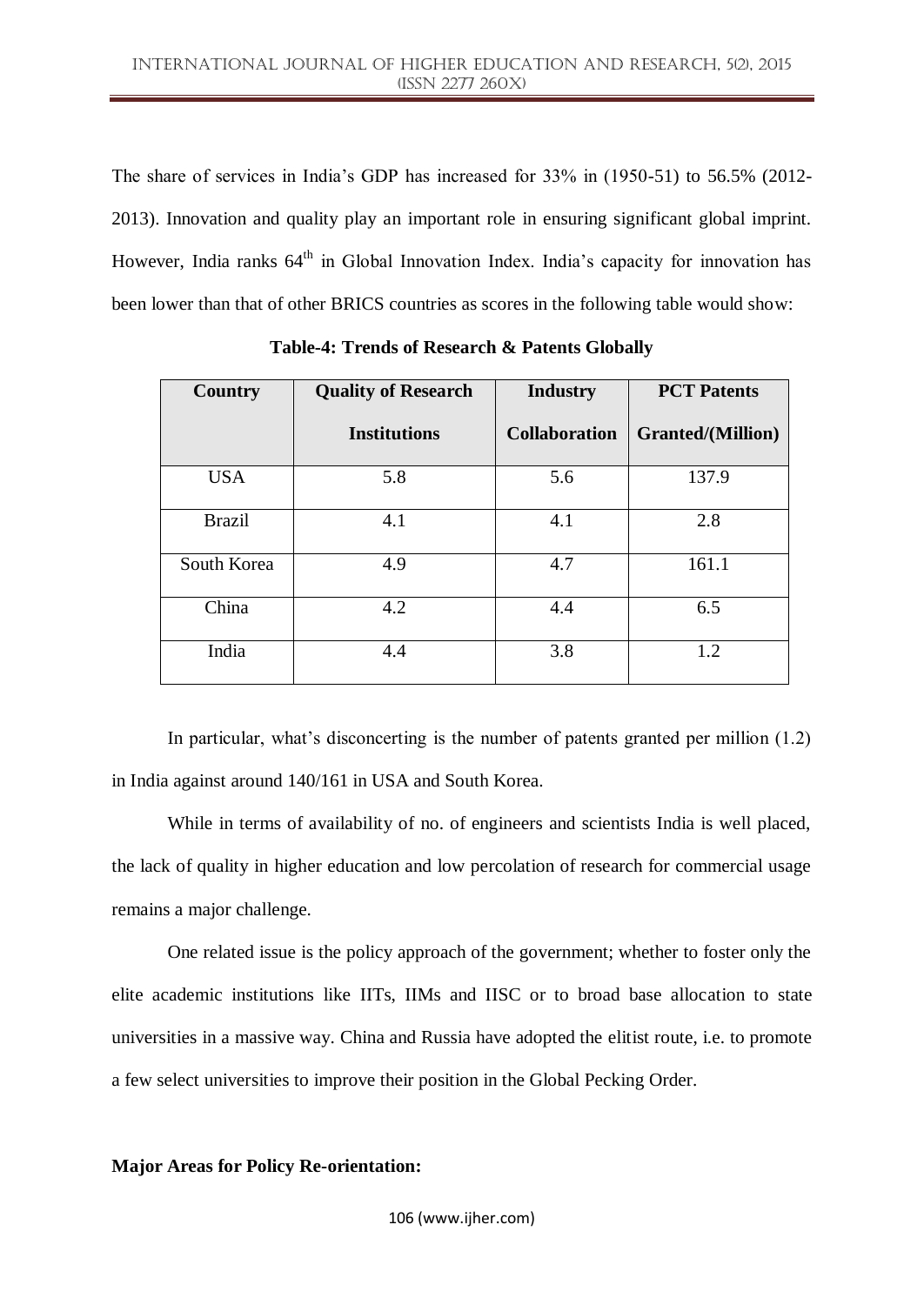The share of services in India"s GDP has increased for 33% in (1950-51) to 56.5% (2012- 2013). Innovation and quality play an important role in ensuring significant global imprint. However, India ranks 64<sup>th</sup> in Global Innovation Index. India's capacity for innovation has been lower than that of other BRICS countries as scores in the following table would show:

| <b>Country</b> | <b>Quality of Research</b> | <b>Industry</b>      | <b>PCT</b> Patents       |  |
|----------------|----------------------------|----------------------|--------------------------|--|
|                | <b>Institutions</b>        | <b>Collaboration</b> | <b>Granted/(Million)</b> |  |
| <b>USA</b>     | 5.8                        | 5.6                  | 137.9                    |  |
| <b>Brazil</b>  | 4.1                        | 4.1                  | 2.8                      |  |
| South Korea    | 4.9                        | 4.7                  | 161.1                    |  |
| China          | 4.2                        | 4.4                  | 6.5                      |  |
| India          | 4.4                        | 3.8                  | 1.2                      |  |

**Table-4: Trends of Research & Patents Globally**

In particular, what's disconcerting is the number of patents granted per million  $(1.2)$ in India against around 140/161 in USA and South Korea.

While in terms of availability of no. of engineers and scientists India is well placed, the lack of quality in higher education and low percolation of research for commercial usage remains a major challenge.

One related issue is the policy approach of the government; whether to foster only the elite academic institutions like IITs, IIMs and IISC or to broad base allocation to state universities in a massive way. China and Russia have adopted the elitist route, i.e. to promote a few select universities to improve their position in the Global Pecking Order.

## **Major Areas for Policy Re-orientation:**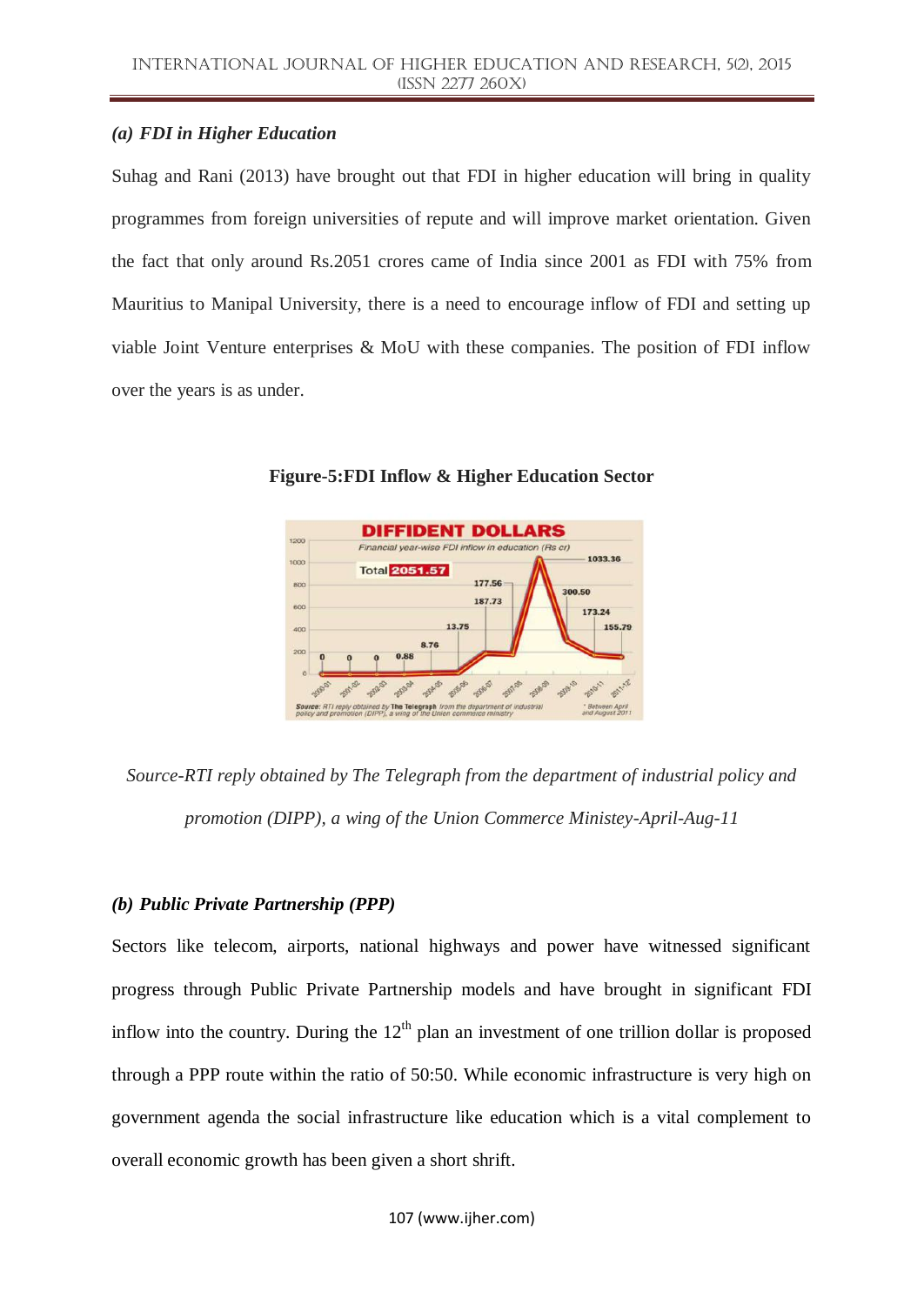### *(a) FDI in Higher Education*

Suhag and Rani (2013) have brought out that FDI in higher education will bring in quality programmes from foreign universities of repute and will improve market orientation. Given the fact that only around Rs.2051 crores came of India since 2001 as FDI with 75% from Mauritius to Manipal University, there is a need to encourage inflow of FDI and setting up viable Joint Venture enterprises & MoU with these companies. The position of FDI inflow over the years is as under.



**Figure-5:FDI Inflow & Higher Education Sector**

*Source-RTI reply obtained by The Telegraph from the department of industrial policy and promotion (DIPP), a wing of the Union Commerce Ministey-April-Aug-11*

## *(b) Public Private Partnership (PPP)*

Sectors like telecom, airports, national highways and power have witnessed significant progress through Public Private Partnership models and have brought in significant FDI inflow into the country. During the  $12<sup>th</sup>$  plan an investment of one trillion dollar is proposed through a PPP route within the ratio of 50:50. While economic infrastructure is very high on government agenda the social infrastructure like education which is a vital complement to overall economic growth has been given a short shrift.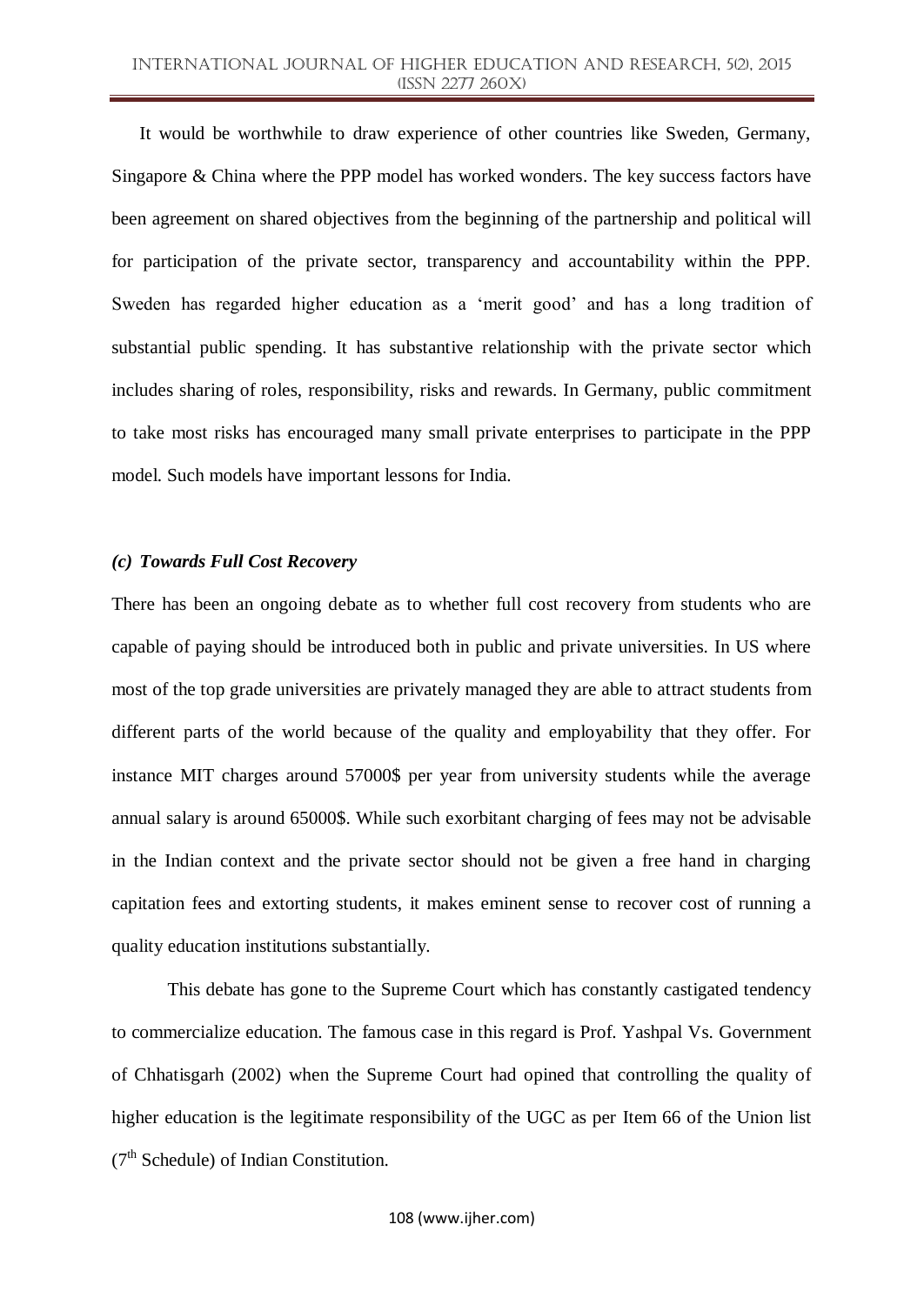It would be worthwhile to draw experience of other countries like Sweden, Germany, Singapore & China where the PPP model has worked wonders. The key success factors have been agreement on shared objectives from the beginning of the partnership and political will for participation of the private sector, transparency and accountability within the PPP. Sweden has regarded higher education as a 'merit good' and has a long tradition of substantial public spending. It has substantive relationship with the private sector which includes sharing of roles, responsibility, risks and rewards. In Germany, public commitment to take most risks has encouraged many small private enterprises to participate in the PPP model. Such models have important lessons for India.

#### *(c) Towards Full Cost Recovery*

There has been an ongoing debate as to whether full cost recovery from students who are capable of paying should be introduced both in public and private universities. In US where most of the top grade universities are privately managed they are able to attract students from different parts of the world because of the quality and employability that they offer. For instance MIT charges around 57000\$ per year from university students while the average annual salary is around 65000\$. While such exorbitant charging of fees may not be advisable in the Indian context and the private sector should not be given a free hand in charging capitation fees and extorting students, it makes eminent sense to recover cost of running a quality education institutions substantially.

This debate has gone to the Supreme Court which has constantly castigated tendency to commercialize education. The famous case in this regard is Prof. Yashpal Vs. Government of Chhatisgarh (2002) when the Supreme Court had opined that controlling the quality of higher education is the legitimate responsibility of the UGC as per Item 66 of the Union list (7<sup>th</sup> Schedule) of Indian Constitution.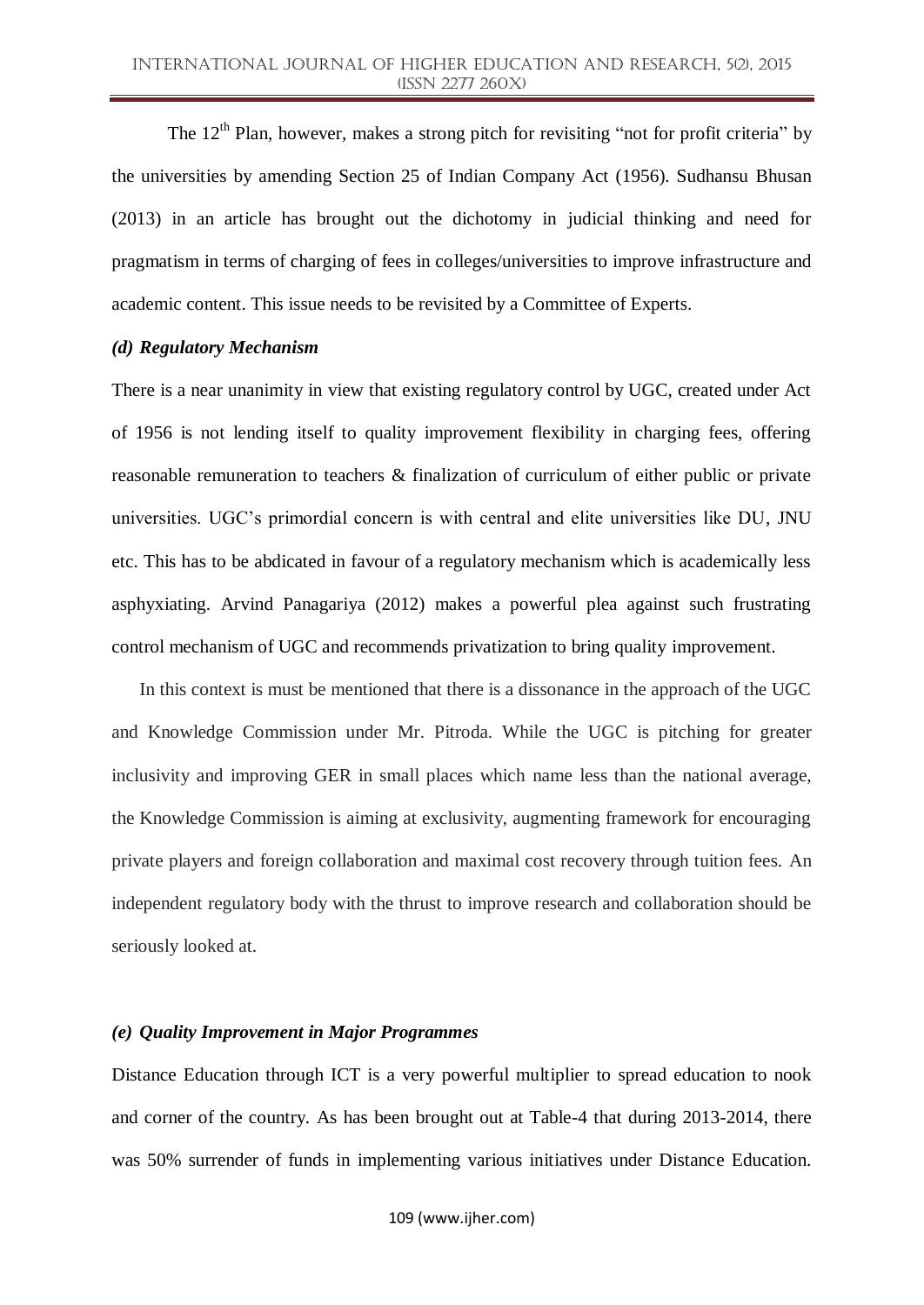The 12<sup>th</sup> Plan, however, makes a strong pitch for revisiting "not for profit criteria" by the universities by amending Section 25 of Indian Company Act (1956). Sudhansu Bhusan (2013) in an article has brought out the dichotomy in judicial thinking and need for pragmatism in terms of charging of fees in colleges/universities to improve infrastructure and academic content. This issue needs to be revisited by a Committee of Experts.

#### *(d) Regulatory Mechanism*

There is a near unanimity in view that existing regulatory control by UGC, created under Act of 1956 is not lending itself to quality improvement flexibility in charging fees, offering reasonable remuneration to teachers & finalization of curriculum of either public or private universities. UGC"s primordial concern is with central and elite universities like DU, JNU etc. This has to be abdicated in favour of a regulatory mechanism which is academically less asphyxiating. Arvind Panagariya (2012) makes a powerful plea against such frustrating control mechanism of UGC and recommends privatization to bring quality improvement.

In this context is must be mentioned that there is a dissonance in the approach of the UGC and Knowledge Commission under Mr. Pitroda. While the UGC is pitching for greater inclusivity and improving GER in small places which name less than the national average, the Knowledge Commission is aiming at exclusivity, augmenting framework for encouraging private players and foreign collaboration and maximal cost recovery through tuition fees. An independent regulatory body with the thrust to improve research and collaboration should be seriously looked at.

#### *(e) Quality Improvement in Major Programmes*

Distance Education through ICT is a very powerful multiplier to spread education to nook and corner of the country. As has been brought out at Table-4 that during 2013-2014, there was 50% surrender of funds in implementing various initiatives under Distance Education.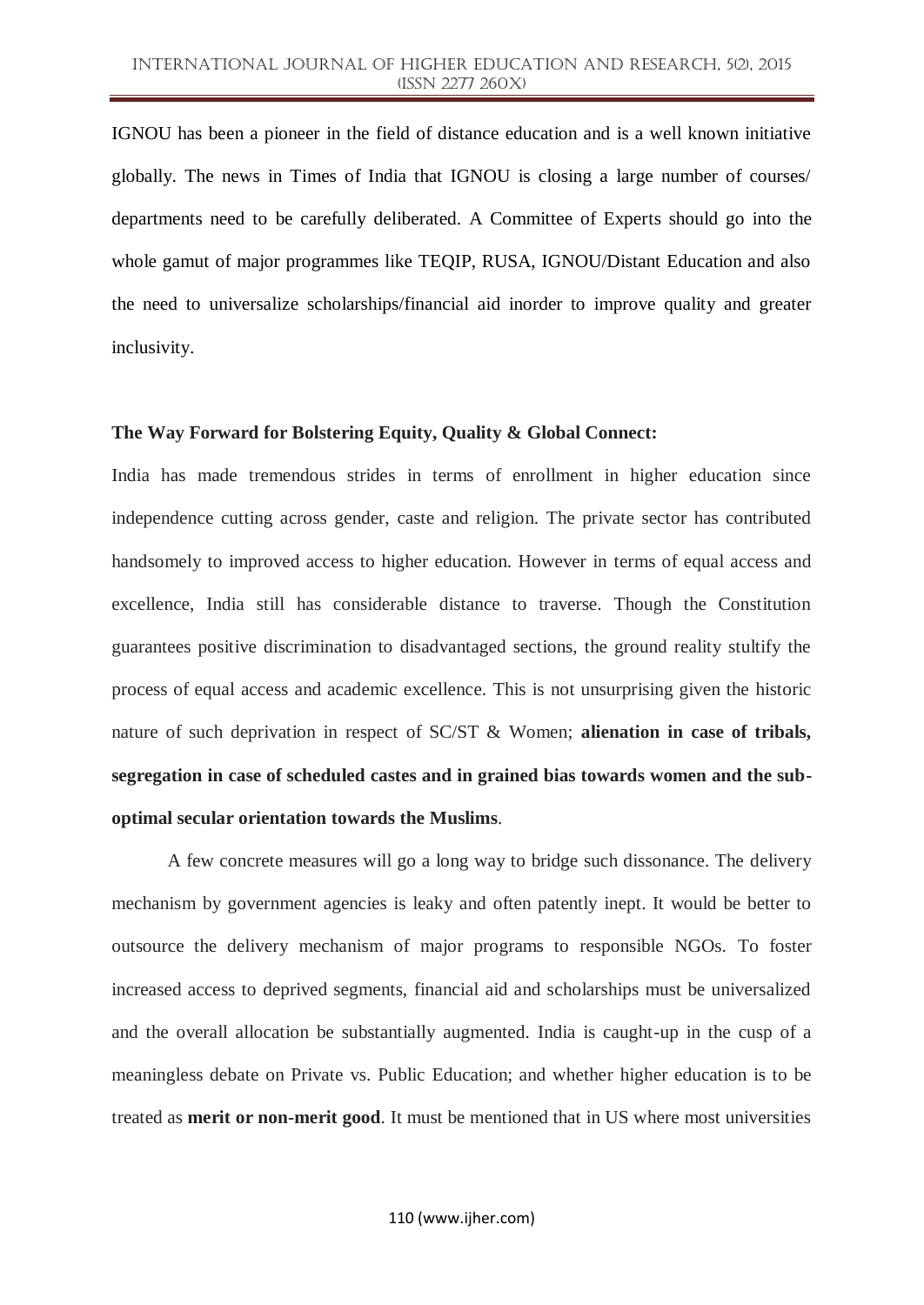IGNOU has been a pioneer in the field of distance education and is a well known initiative globally. The news in Times of India that IGNOU is closing a large number of courses/ departments need to be carefully deliberated. A Committee of Experts should go into the whole gamut of major programmes like TEQIP, RUSA, IGNOU/Distant Education and also the need to universalize scholarships/financial aid inorder to improve quality and greater inclusivity.

## **The Way Forward for Bolstering Equity, Quality & Global Connect:**

India has made tremendous strides in terms of enrollment in higher education since independence cutting across gender, caste and religion. The private sector has contributed handsomely to improved access to higher education. However in terms of equal access and excellence, India still has considerable distance to traverse. Though the Constitution guarantees positive discrimination to disadvantaged sections, the ground reality stultify the process of equal access and academic excellence. This is not unsurprising given the historic nature of such deprivation in respect of SC/ST & Women; **alienation in case of tribals, segregation in case of scheduled castes and in grained bias towards women and the suboptimal secular orientation towards the Muslims**.

A few concrete measures will go a long way to bridge such dissonance. The delivery mechanism by government agencies is leaky and often patently inept. It would be better to outsource the delivery mechanism of major programs to responsible NGOs. To foster increased access to deprived segments, financial aid and scholarships must be universalized and the overall allocation be substantially augmented. India is caught-up in the cusp of a meaningless debate on Private vs. Public Education; and whether higher education is to be treated as **merit or non-merit good**. It must be mentioned that in US where most universities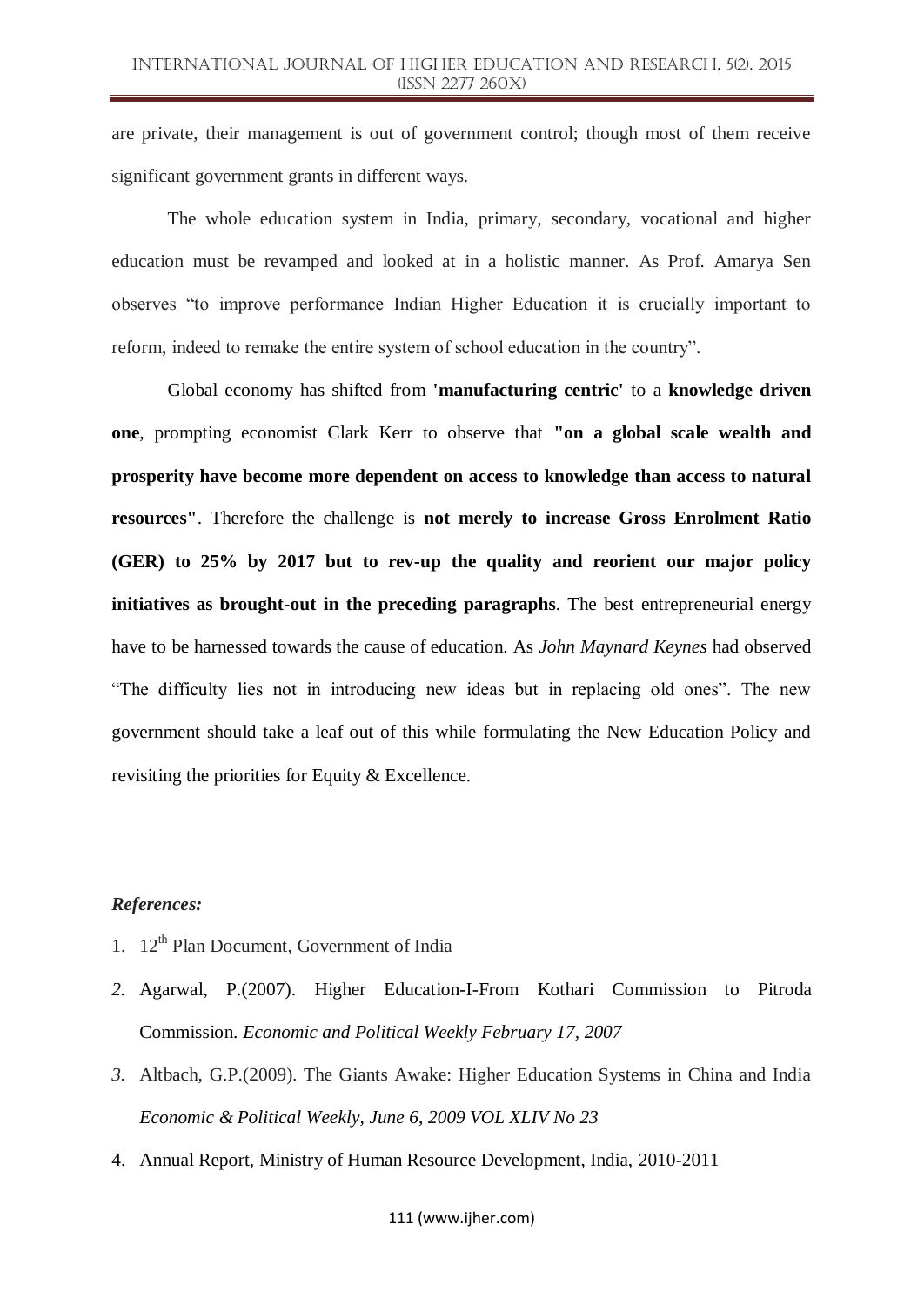are private, their management is out of government control; though most of them receive significant government grants in different ways.

The whole education system in India, primary, secondary, vocational and higher education must be revamped and looked at in a holistic manner. As Prof. Amarya Sen observes "to improve performance Indian Higher Education it is crucially important to reform, indeed to remake the entire system of school education in the country".

Global economy has shifted from **'manufacturing centric'** to a **knowledge driven one**, prompting economist Clark Kerr to observe that **"on a global scale wealth and prosperity have become more dependent on access to knowledge than access to natural resources"**. Therefore the challenge is **not merely to increase Gross Enrolment Ratio (GER) to 25% by 2017 but to rev-up the quality and reorient our major policy initiatives as brought-out in the preceding paragraphs**. The best entrepreneurial energy have to be harnessed towards the cause of education. As *John Maynard Keynes* had observed "The difficulty lies not in introducing new ideas but in replacing old ones". The new government should take a leaf out of this while formulating the New Education Policy and revisiting the priorities for Equity & Excellence.

## *References:*

- 1.  $12^{th}$  Plan Document, Government of India
- *2.* Agarwal, P.(2007). Higher Education-I-From Kothari Commission to Pitroda Commission. *Economic and Political Weekly February 17, 2007*
- *3.* Altbach, G.P.(2009). The Giants Awake: Higher Education Systems in China and India *Economic & Political Weekly, June 6, 2009 VOL XLIV No 23*
- 4. Annual Report, Ministry of Human Resource Development, India, 2010-2011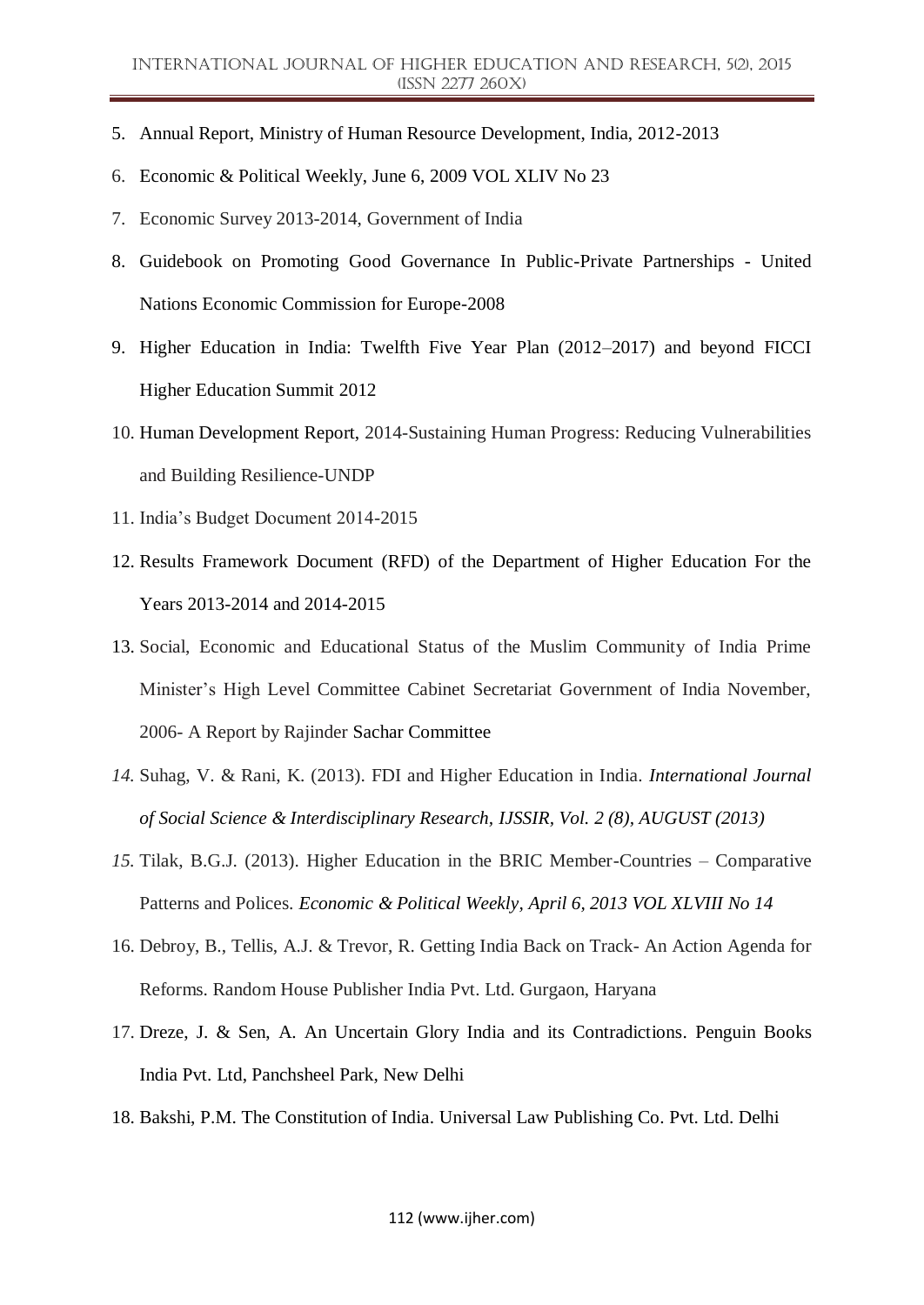- 5. Annual Report, Ministry of Human Resource Development, India, 2012-2013
- 6. Economic & Political Weekly, June 6, 2009 VOL XLIV No 23
- 7. Economic Survey 2013-2014, Government of India
- 8. Guidebook on Promoting Good Governance In Public-Private Partnerships United Nations Economic Commission for Europe-2008
- 9. Higher Education in India: Twelfth Five Year Plan (2012–2017) and beyond FICCI Higher Education Summit 2012
- 10. Human Development Report, 2014-Sustaining Human Progress: Reducing Vulnerabilities and Building Resilience-UNDP
- 11. India"s Budget Document 2014-2015
- 12. Results Framework Document (RFD) of the Department of Higher Education For the Years 2013-2014 and 2014-2015
- 13. Social, Economic and Educational Status of the Muslim Community of India Prime Minister"s High Level Committee Cabinet Secretariat Government of India November, 2006- A Report by Rajinder Sachar Committee
- *14.* Suhag, V. & Rani, K. (2013). FDI and Higher Education in India*. International Journal of Social Science & Interdisciplinary Research, IJSSIR, Vol. 2 (8), AUGUST (2013)*
- *15.* Tilak, B.G.J. (2013). Higher Education in the BRIC Member-Countries Comparative Patterns and Polices. *Economic & Political Weekly, April 6, 2013 VOL XLVIII No 14*
- 16. Debroy, B., Tellis, A.J. & Trevor, R. Getting India Back on Track- An Action Agenda for Reforms. Random House Publisher India Pvt. Ltd. Gurgaon, Haryana
- 17. Dreze, J. & Sen, A. An Uncertain Glory India and its Contradictions. Penguin Books India Pvt. Ltd, Panchsheel Park, New Delhi
- 18. Bakshi, P.M. The Constitution of India. Universal Law Publishing Co. Pvt. Ltd. Delhi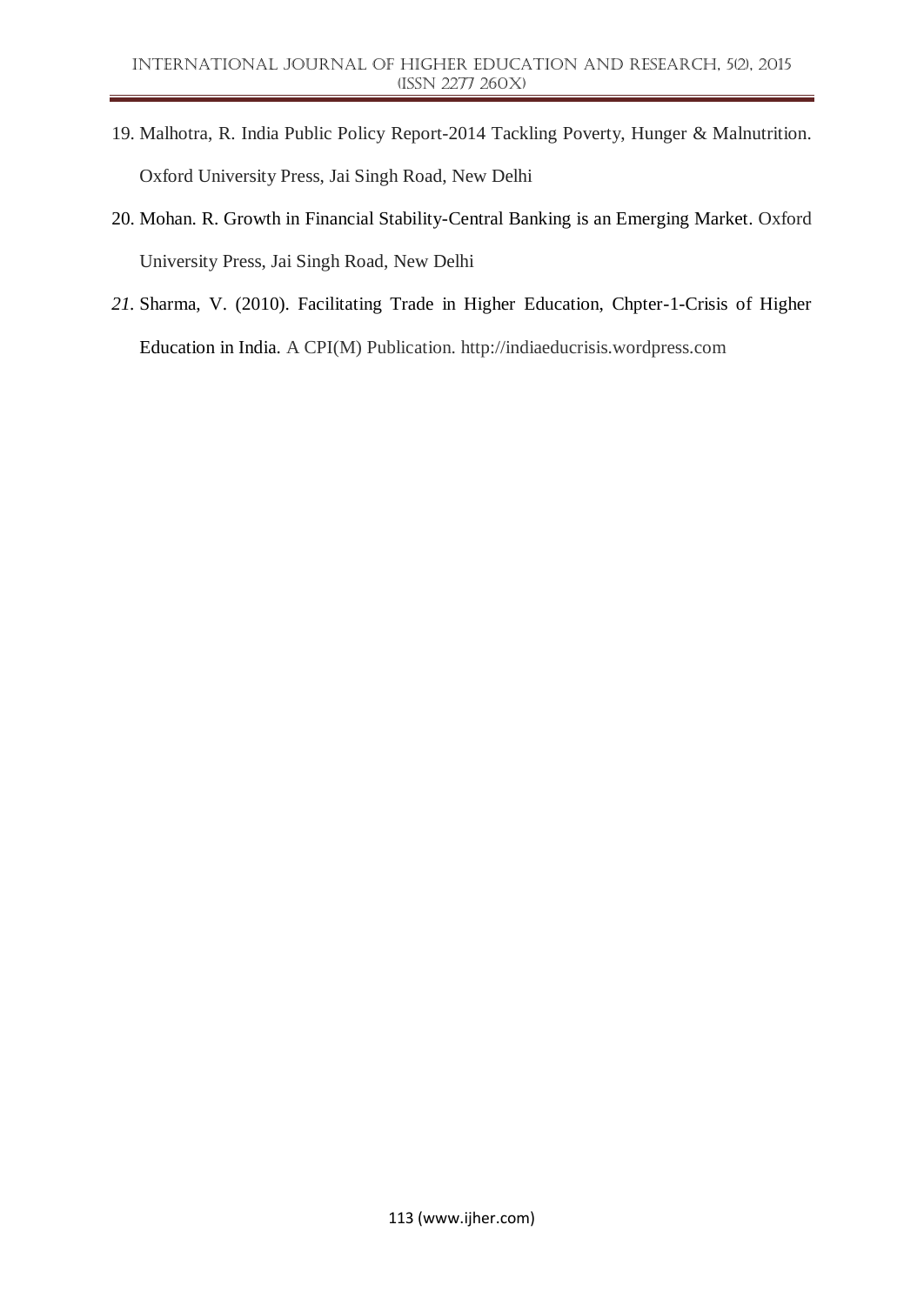- 19. Malhotra, R. India Public Policy Report-2014 Tackling Poverty, Hunger & Malnutrition. Oxford University Press, Jai Singh Road, New Delhi
- 20. Mohan. R. Growth in Financial Stability-Central Banking is an Emerging Market. Oxford University Press, Jai Singh Road, New Delhi
- *21.* Sharma, V. (2010). Facilitating Trade in Higher Education, Chpter-1-Crisis of Higher Education in India. A CPI(M) Publication. http://indiaeducrisis.wordpress.com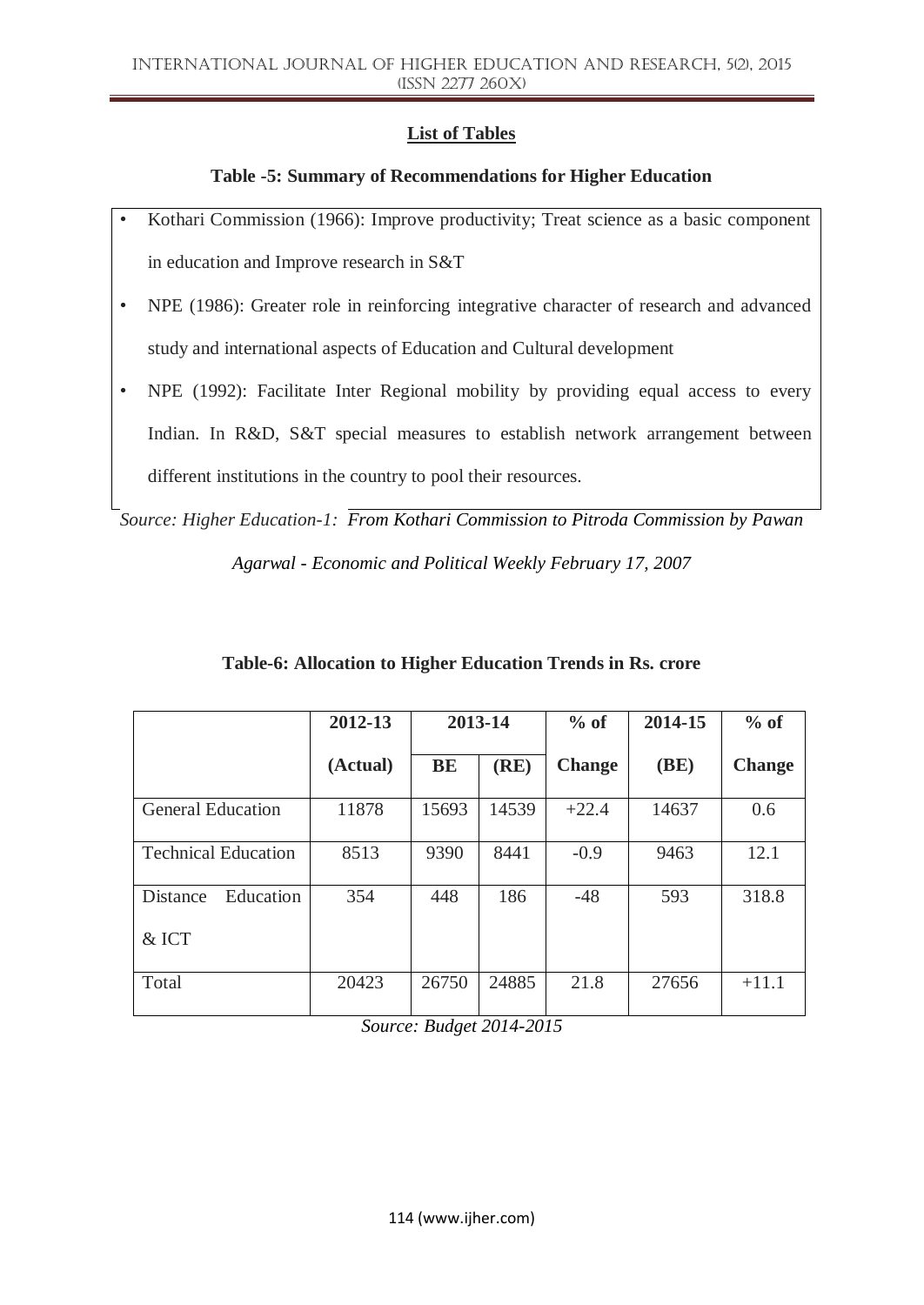# **List of Tables**

## **Table -5: Summary of Recommendations for Higher Education**

- Kothari Commission (1966): Improve productivity; Treat science as a basic component in education and Improve research in S&T
- NPE (1986): Greater role in reinforcing integrative character of research and advanced study and international aspects of Education and Cultural development
- NPE (1992): Facilitate Inter Regional mobility by providing equal access to every Indian. In R&D, S&T special measures to establish network arrangement between different institutions in the country to pool their resources.

*Source: Higher Education-1: From Kothari Commission to Pitroda Commission by Pawan* 

*Agarwal - Economic and Political Weekly February 17, 2007*

|                            | 2012-13  | 2013-14   |       | $%$ of        | 2014-15 | $%$ of        |
|----------------------------|----------|-----------|-------|---------------|---------|---------------|
|                            | (Actual) | <b>BE</b> | (RE)  | <b>Change</b> | (BE)    | <b>Change</b> |
| <b>General Education</b>   | 11878    | 15693     | 14539 | $+22.4$       | 14637   | 0.6           |
| <b>Technical Education</b> | 8513     | 9390      | 8441  | $-0.9$        | 9463    | 12.1          |
| Education<br>Distance      | 354      | 448       | 186   | $-48$         | 593     | 318.8         |
| & ICT                      |          |           |       |               |         |               |
| Total                      | 20423    | 26750     | 24885 | 21.8          | 27656   | $+11.1$       |

## **Table-6: Allocation to Higher Education Trends in Rs. crore**

*Source: Budget 2014-2015*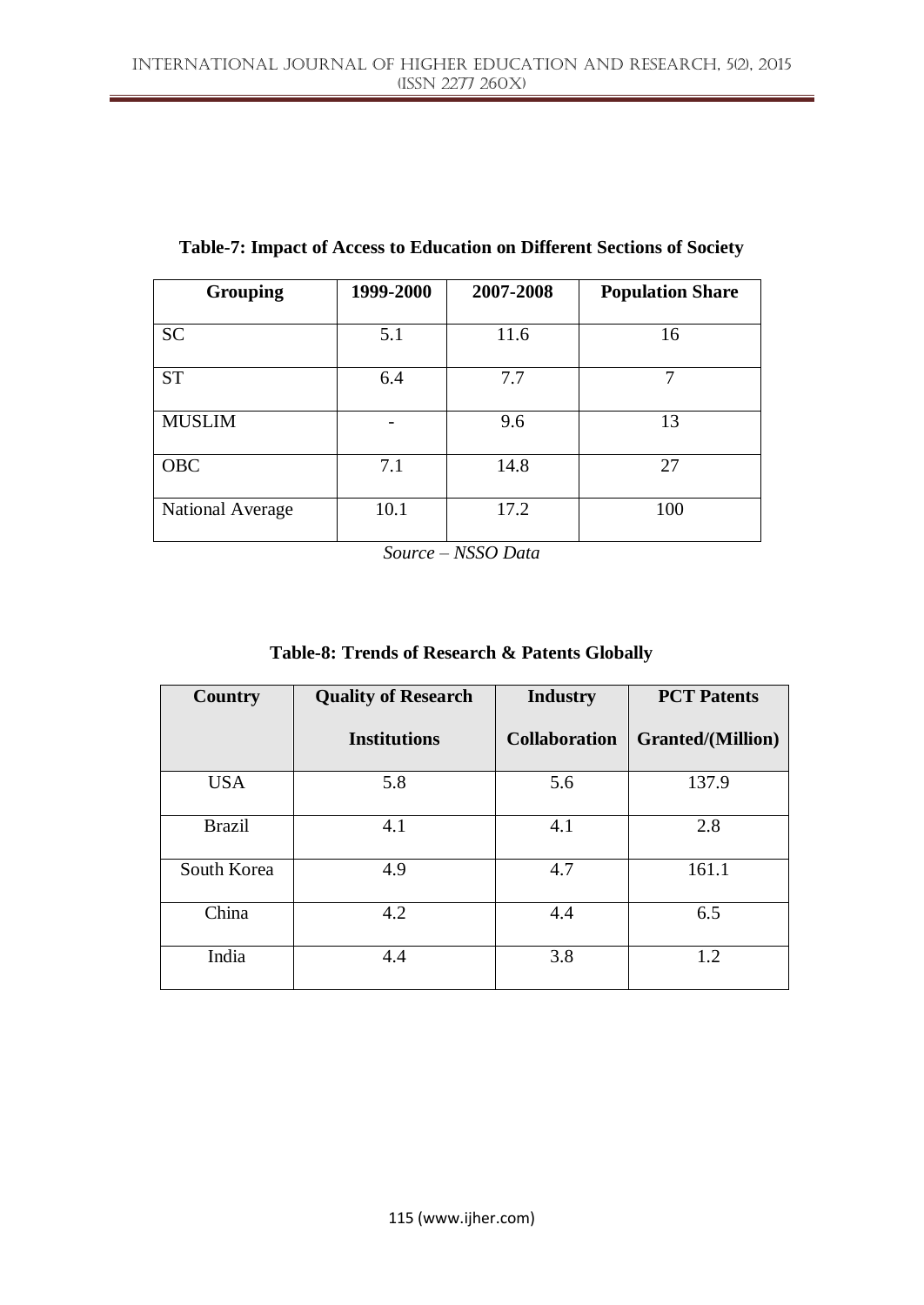| <b>Grouping</b>         | 1999-2000 | 2007-2008 | <b>Population Share</b> |
|-------------------------|-----------|-----------|-------------------------|
| <b>SC</b>               | 5.1       | 11.6      | 16                      |
| <b>ST</b>               | 6.4       | 7.7       | 7                       |
| <b>MUSLIM</b>           |           | 9.6       | 13                      |
| <b>OBC</b>              | 7.1       | 14.8      | 27                      |
| <b>National Average</b> | 10.1      | 17.2      | 100                     |

**Table-7: Impact of Access to Education on Different Sections of Society**

*Source – NSSO Data*

| Table-8: Trends of Research & Patents Globally |  |
|------------------------------------------------|--|
|------------------------------------------------|--|

| <b>Country</b> | <b>Quality of Research</b> | <b>Industry</b>      | <b>PCT</b> Patents       |  |
|----------------|----------------------------|----------------------|--------------------------|--|
|                | <b>Institutions</b>        | <b>Collaboration</b> | <b>Granted/(Million)</b> |  |
| <b>USA</b>     | 5.8                        | 5.6                  | 137.9                    |  |
| <b>Brazil</b>  | 4.1                        | 4.1                  | 2.8                      |  |
| South Korea    | 4.9                        | 4.7                  | 161.1                    |  |
| China          | 4.2                        | 4.4                  | 6.5                      |  |
| India          | 4.4                        | 3.8                  | 1.2                      |  |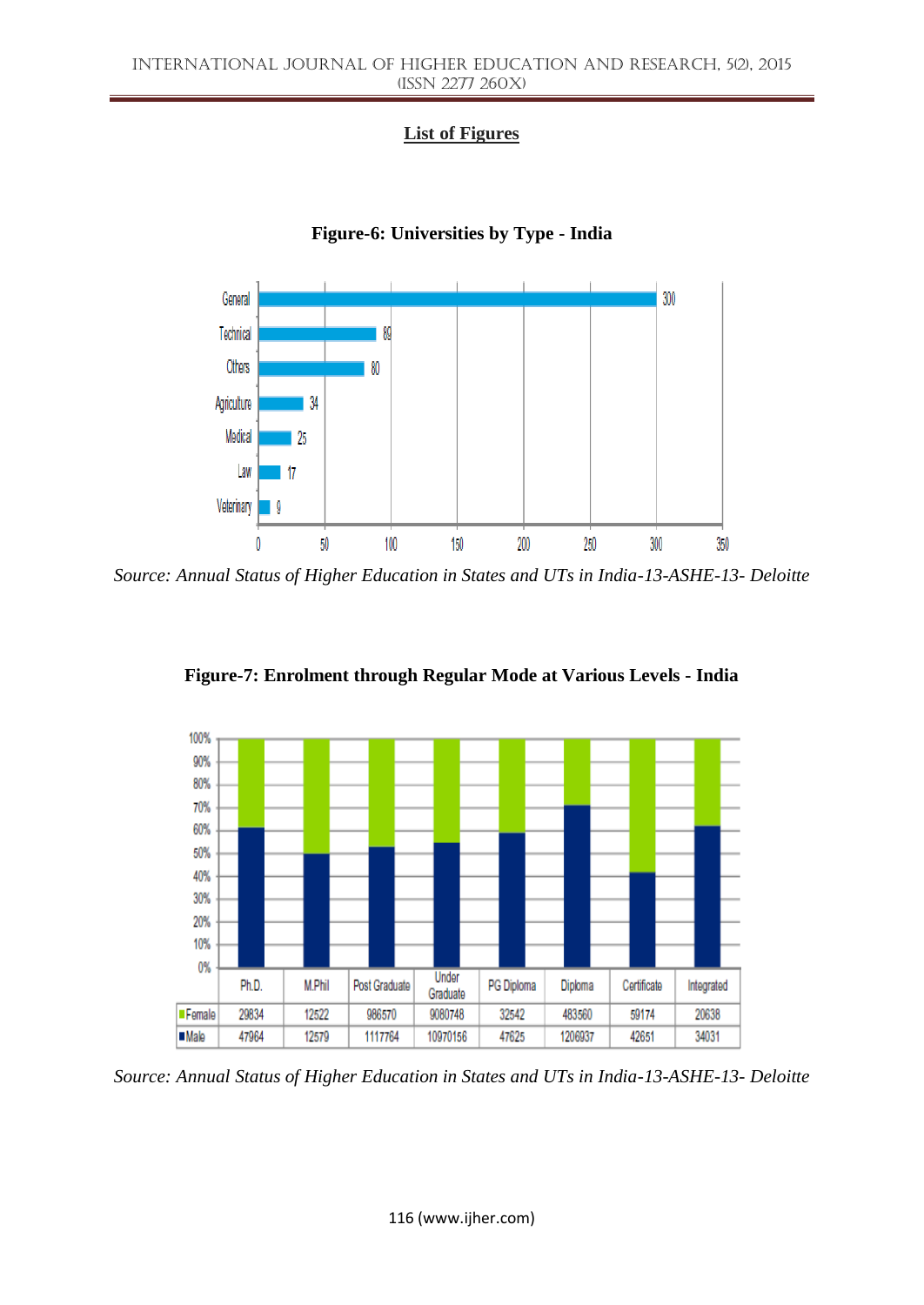# **List of Figures**



## **Figure-6: Universities by Type - India**

*Source: Annual Status of Higher Education in States and UTs in India-13-ASHE-13- Deloitte*



**Figure-7: Enrolment through Regular Mode at Various Levels - India**

*Source: Annual Status of Higher Education in States and UTs in India-13-ASHE-13- Deloitte*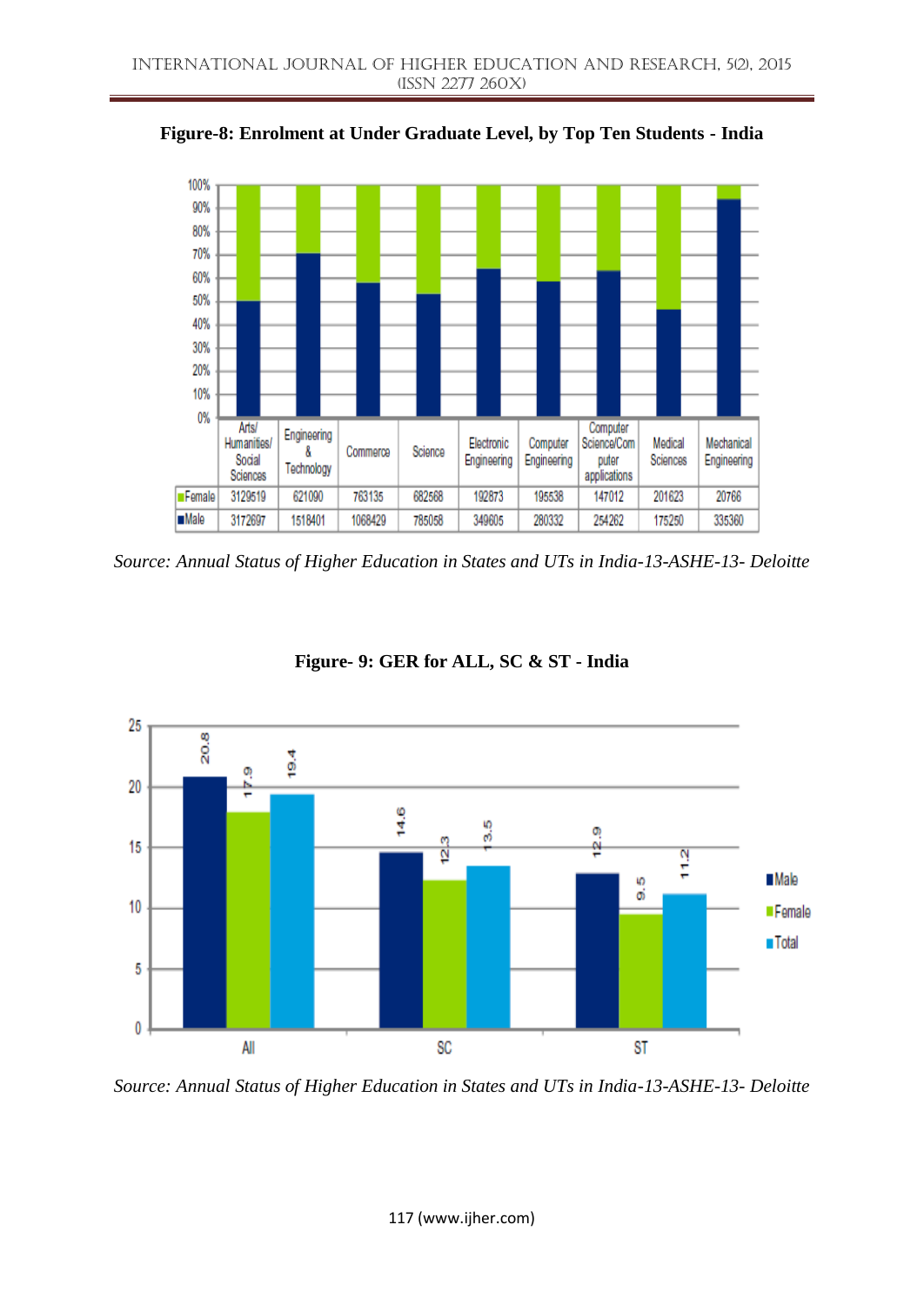

**Figure-8: Enrolment at Under Graduate Level, by Top Ten Students - India**

*Source: Annual Status of Higher Education in States and UTs in India-13-ASHE-13- Deloitte*



**Figure- 9: GER for ALL, SC & ST - India**

*Source: Annual Status of Higher Education in States and UTs in India-13-ASHE-13- Deloitte*